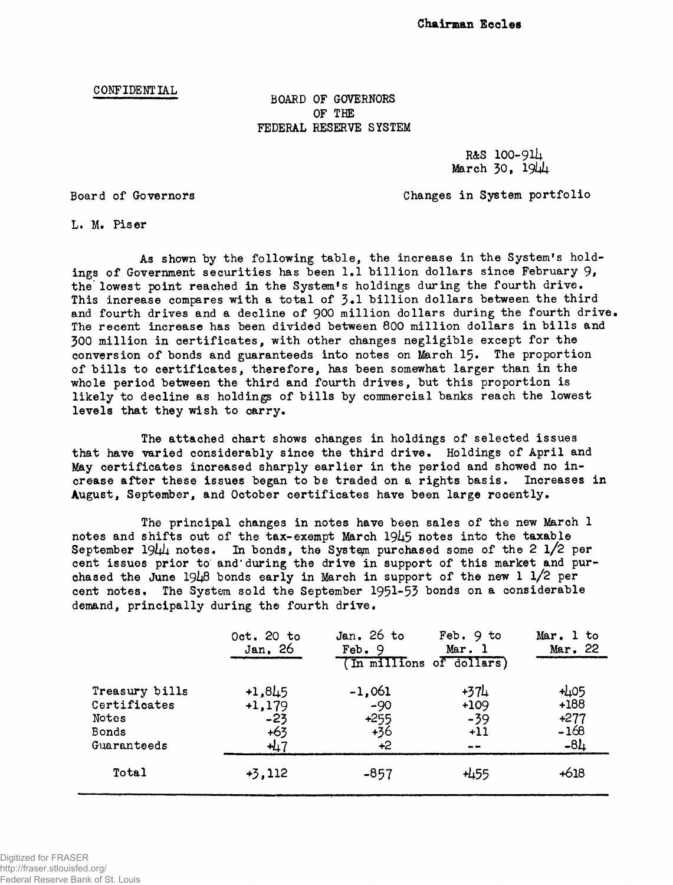## CONFIDENTIAL BOARD OF GOVERNORS OF THE FEDERAL RESERVE SYSTEM

R&S 1OO-91U March  $30.1944$ 

Board of Governors Changes in System portfolio

L. M. Piser

As shown by the following table, the increase in the System's holdings of Government securities has been 1.1 billion dollars since February 9, the' lowest point reached in the System's holdings during the fourth drive. This increase compares with a total of  $\mathfrak{Z}.1$  billion dollars between the third and fourth drives and a decline of 900 million dollars during the fourth drive. The recent increase has been divided between 800 million dollars in bills and 300 million in certificates, with other changes negligible except for the conversion of bonds and guaranteeds into notes on March 15. The proportion of bills to certificates, therefore, has been somewhat larger than in the whole period between the third and fourth drives, but this proportion is likely to decline as holdings of bills by commercial banks reach the lowest levels that they wish to carry.

The attached chart shows changes in holdings of selected issues that have varied considerably since the third drive. Holdings of April and May certificates increased sharply earlier in the period and showed no increase after these issues began to be traded on a rights basis. Increases in August, September, and October certificates have been large recently.

The principal changes in notes have been sales of the new March 1 notes and shifts out of the tax-exempt March  $19\mu$ 5 notes into the taxable September  $19\mu\mu$  notes. In bonds, the System purchased some of the 2 1/2 per cent issues prior to and'during the drive in support of this market and purchased the June  $1948$  bonds early in March in support of the new 1  $1/2$  per cent notes. The System sold the September 1951-53 bonds on a considerable demand, principally during the fourth drive.

|                                                                 | Oct. 20 to<br>Jan. 26                            | Jan. $26$ to<br>Feb.9<br>(In millions of dollars) | Feb. 9 to<br>Mar. 1              | Mar. 1 to<br>Mar. 22                          |
|-----------------------------------------------------------------|--------------------------------------------------|---------------------------------------------------|----------------------------------|-----------------------------------------------|
| Treasury bills<br>Certificates<br>Notes<br>Bonds<br>Guaranteeds | $+1,845$<br>$+1,179$<br>$-23$<br>$+63$<br>$+4.7$ | $-1,061$<br>$-90$<br>+255<br>$+36$<br>$+2$        | +374<br>$+109$<br>$-39$<br>$+11$ | $+405$<br>$+188$<br>$+277$<br>$-168$<br>$-8L$ |
| Total                                                           | $+3,112$                                         | $-857$                                            | +455                             | $+618$                                        |